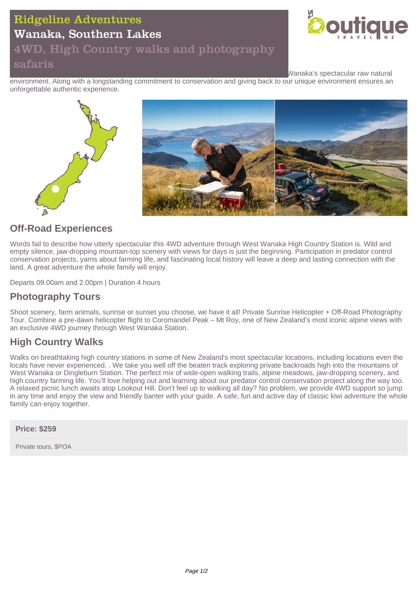## Ridgeline Adventures

## Wanaka, Southern Lakes

### 4WD, High Country walks and photography safaris



Wanaka's spectacular raw natural

environment. Along with a longstanding commitment to conservation and giving back to our unique environment ensures an unforgettable authentic experience.



### **Off-Road Experiences**

Words fail to describe how utterly spectacular this 4WD adventure through West Wanaka High Country Station is. Wild and empty silence, jaw-dropping mountain-top scenery with views for days is just the beginning. Participation in predator control conservation projects, yarns about farming life, and fascinating local history will leave a deep and lasting connection with the land. A great adventure the whole family will enjoy.

Departs 09.00am and 2.00pm | Duration 4 hours

### **Photography Tours**

Shoot scenery, farm animals, sunrise or sunset you choose, we have it all! Private Sunrise Helicopter + Off-Road Photography Tour. Combine a pre-dawn helicopter flight to Coromandel Peak – Mt Roy, one of New Zealand's most iconic alpine views with an exclusive 4WD journey through West Wanaka Station.

### **High Country Walks**

Walks on breathtaking high country stations in some of New Zealand's most spectacular locations, including locations even the locals have never experienced. . We take you well off the beaten track exploring private backroads high into the mountains of West Wanaka or Dingleburn Station. The perfect mix of wide-open walking trails, alpine meadows, jaw-dropping scenery, and high country farming life. You'll love helping out and learning about our predator control conservation project along the way too. A relaxed picnic lunch awaits atop Lookout Hill. Don't feel up to walking all day? No problem, we provide 4WD support so jump in any time and enjoy the view and friendly banter with your guide. A safe, fun and active day of classic kiwi adventure the whole family can enjoy together.

**Price: \$259**

Private tours, \$POA